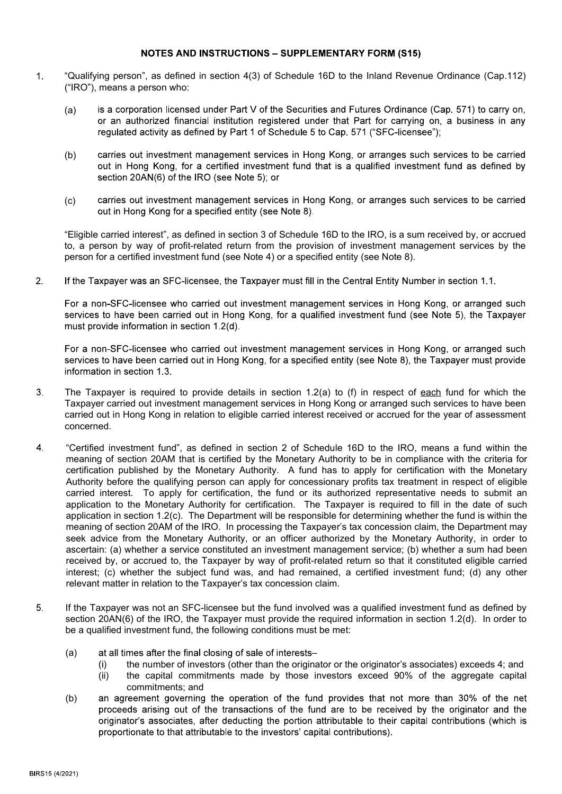## **NOTES AND INSTRUCTIONS - SUPPLEMENTARY FORM (S15)**

- $1.$ "Qualifying person", as defined in section 4(3) of Schedule 16D to the Inland Revenue Ordinance (Cap.112) ("IRO"), means a person who:
	- is a corporation licensed under Part V of the Securities and Futures Ordinance (Cap. 571) to carry on. (a) or an authorized financial institution registered under that Part for carrying on, a business in any requiated activity as defined by Part 1 of Schedule 5 to Cap. 571 ("SFC-licensee");
	- (b) carries out investment management services in Hong Kong, or arranges such services to be carried out in Hong Kong, for a certified investment fund that is a qualified investment fund as defined by section 20AN(6) of the IRO (see Note 5); or
	- (c) carries out investment management services in Hong Kong, or arranges such services to be carried out in Hong Kong for a specified entity (see Note 8).

"Eligible carried interest", as defined in section 3 of Schedule 16D to the IRO, is a sum received by, or accrued to, a person by way of profit-related return from the provision of investment management services by the person for a certified investment fund (see Note 4) or a specified entity (see Note 8).

 $2.$ If the Taxpayer was an SFC-licensee, the Taxpayer must fill in the Central Entity Number in section 1.1.

For a non-SFC-licensee who carried out investment management services in Hong Kong, or arranged such services to have been carried out in Hong Kong, for a qualified investment fund (see Note 5), the Taxpayer must provide information in section 1.2(d).

For a non-SFC-licensee who carried out investment management services in Hong Kong, or arranged such services to have been carried out in Hong Kong, for a specified entity (see Note 8), the Taxpayer must provide information in section 1.3.

- The Taxpayer is required to provide details in section 1.2(a) to (f) in respect of each fund for which the  $3<sub>1</sub>$ Taxpayer carried out investment management services in Hong Kong or arranged such services to have been carried out in Hong Kong in relation to eligible carried interest received or accrued for the year of assessment concerned.
- $\overline{4}$ . "Certified investment fund", as defined in section 2 of Schedule 16D to the IRO, means a fund within the meaning of section 20AM that is certified by the Monetary Authority to be in compliance with the criteria for certification published by the Monetary Authority. A fund has to apply for certification with the Monetary Authority before the qualifying person can apply for concessionary profits tax treatment in respect of eligible carried interest. To apply for certification, the fund or its authorized representative needs to submit an application to the Monetary Authority for certification. The Taxpayer is required to fill in the date of such application in section 1.2(c). The Department will be responsible for determining whether the fund is within the meaning of section 20AM of the IRO. In processing the Taxpayer's tax concession claim, the Department may seek advice from the Monetary Authority, or an officer authorized by the Monetary Authority, in order to ascertain: (a) whether a service constituted an investment management service; (b) whether a sum had been received by, or accrued to, the Taxpayer by way of profit-related return so that it constituted eligible carried interest; (c) whether the subject fund was, and had remained, a certified investment fund; (d) any other relevant matter in relation to the Taxpayer's tax concession claim.
- 5. If the Taxpayer was not an SFC-licensee but the fund involved was a qualified investment fund as defined by section 20AN(6) of the IRO, the Taxpayer must provide the required information in section 1.2(d). In order to be a qualified investment fund, the following conditions must be met:
	- (a) at all times after the final closing of sale of interests
		- the number of investors (other than the originator or the originator's associates) exceeds 4; and  $(i)$
		- $(ii)$ the capital commitments made by those investors exceed 90% of the aggregate capital commitments; and
	- (b) an agreement governing the operation of the fund provides that not more than 30% of the net proceeds arising out of the transactions of the fund are to be received by the originator and the originator's associates, after deducting the portion attributable to their capital contributions (which is proportionate to that attributable to the investors' capital contributions).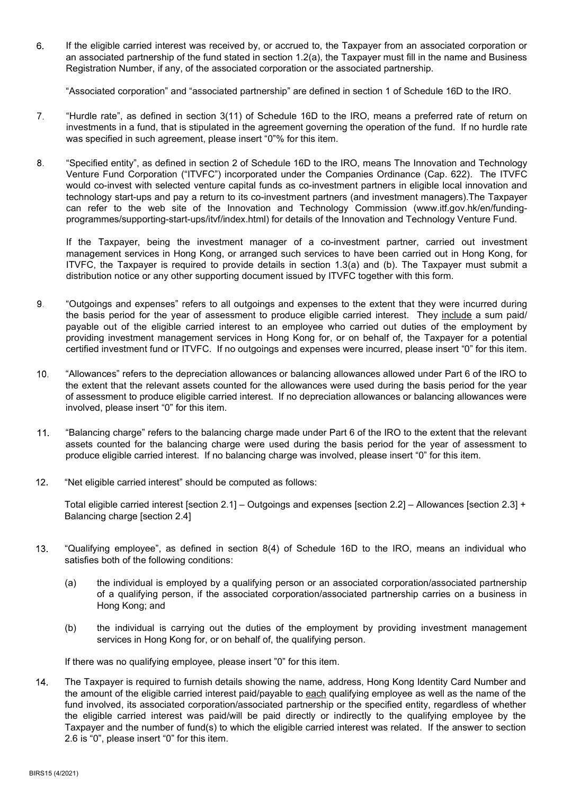6 If the eligible carried interest was received by, or accrued to, the Taxpayer from an associated corporation or an associated partnership of the fund stated in section 1.2(a), the Taxpayer must fill in the name and Business Registration Number, if any, of the associated corporation or the associated partnership.

"Associated corporation" and "associated partnership" are defined in section 1 of Schedule 16D to the IRO.

- 7. "Hurdle rate", as defined in section 3(11) of Schedule 16D to the IRO, means a preferred rate of return on investments in a fund, that is stipulated in the agreement governing the operation of the fund. If no hurdle rate was specified in such agreement, please insert "0"% for this item.
- "Specified entity", as defined in section 2 of Schedule 16D to the IRO, means The Innovation and Technology 8. Venture Fund Corporation ("ITVFC") incorporated under the Companies Ordinance (Cap. 622). The ITVFC would co-invest with selected venture capital funds as co-investment partners in eligible local innovation and technology start-ups and pay a return to its co-investment partners (and investment managers).The Taxpayer can refer to the web site of the Innovation and Technology Commission (www.itf.gov.hk/en/fundingprogrammes/supporting-start-ups/itvf/index.html) for details of the Innovation and Technology Venture Fund.

If the Taxpayer, being the investment manager of a co-investment partner, carried out investment management services in Hong Kong, or arranged such services to have been carried out in Hong Kong, for ITVFC, the Taxpayer is required to provide details in section 1.3(a) and (b). The Taxpayer must submit a distribution notice or any other supporting document issued by ITVFC together with this form.

- "Outgoings and expenses" refers to all outgoings and expenses to the extent that they were incurred during 9. the basis period for the year of assessment to produce eligible carried interest. They include a sum paid/ payable out of the eligible carried interest to an employee who carried out duties of the employment by providing investment management services in Hong Kong for, or on behalf of, the Taxpayer for a potential certified investment fund or ITVFC. If no outgoings and expenses were incurred, please insert "0" for this item.
- $10<sub>1</sub>$ "Allowances" refers to the depreciation allowances or balancing allowances allowed under Part 6 of the IRO to the extent that the relevant assets counted for the allowances were used during the basis period for the year of assessment to produce eligible carried interest. If no depreciation allowances or balancing allowances were involved, please insert "0" for this item.
- $11.$ "Balancing charge" refers to the balancing charge made under Part 6 of the IRO to the extent that the relevant assets counted for the balancing charge were used during the basis period for the year of assessment to produce eligible carried interest. If no balancing charge was involved, please insert "0" for this item.
- $12<sup>7</sup>$ "Net eligible carried interest" should be computed as follows:

Total eligible carried interest [section 2.1] – Outgoings and expenses [section 2.2] – Allowances [section 2.3] + Balancing charge [section 2.4]

- $13<sup>2</sup>$ "Qualifying employee", as defined in section 8(4) of Schedule 16D to the IRO, means an individual who satisfies both of the following conditions:
	- (a) the individual is employed by a qualifying person or an associated corporation/associated partnership of a qualifying person, if the associated corporation/associated partnership carries on a business in Hong Kong; and
	- (b) the individual is carrying out the duties of the employment by providing investment management services in Hong Kong for, or on behalf of, the qualifying person.

If there was no qualifying employee, please insert "0" for this item.

 $14<sub>1</sub>$ The Taxpayer is required to furnish details showing the name, address, Hong Kong Identity Card Number and the amount of the eligible carried interest paid/payable to each qualifying employee as well as the name of the fund involved, its associated corporation/associated partnership or the specified entity, regardless of whether the eligible carried interest was paid/will be paid directly or indirectly to the qualifying employee by the Taxpayer and the number of fund(s) to which the eligible carried interest was related. If the answer to section 2.6 is "0", please insert "0" for this item.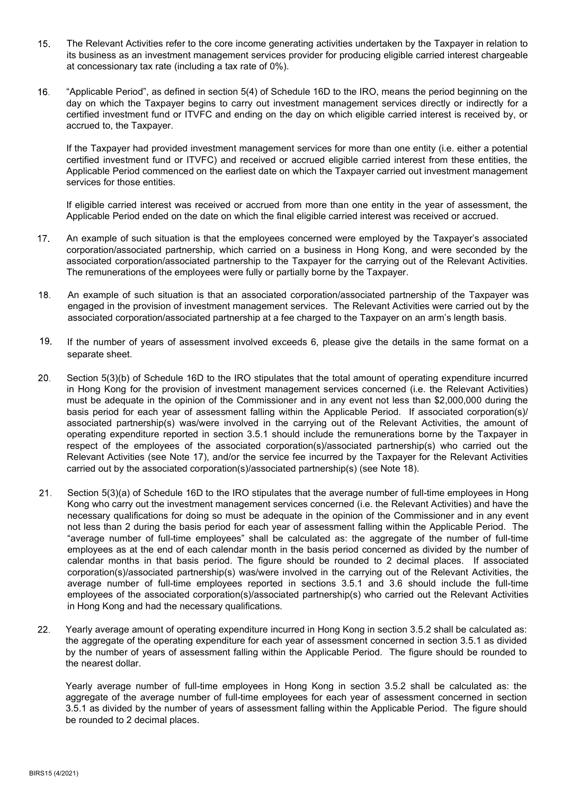- $15<sub>1</sub>$ The Relevant Activities refer to the core income generating activities undertaken by the Taxpayer in relation to its business as an investment management services provider for producing eligible carried interest chargeable at concessionary tax rate (including a tax rate of 0%).
- "Applicable Period", as defined in section 5(4) of Schedule 16D to the IRO, means the period beginning on the  $16.$ day on which the Taxpayer begins to carry out investment management services directly or indirectly for a certified investment fund or ITVFC and ending on the day on which eligible carried interest is received by, or accrued to, the Taxpayer.

If the Taxpayer had provided investment management services for more than one entity (i.e. either a potential certified investment fund or ITVFC) and received or accrued eligible carried interest from these entities, the Applicable Period commenced on the earliest date on which the Taxpayer carried out investment management services for those entities.

If eligible carried interest was received or accrued from more than one entity in the year of assessment, the Applicable Period ended on the date on which the final eligible carried interest was received or accrued.

- $17<sub>1</sub>$ An example of such situation is that the employees concerned were employed by the Taxpayer's associated corporation/associated partnership, which carried on a business in Hong Kong, and were seconded by the associated corporation/associated partnership to the Taxpayer for the carrying out of the Relevant Activities. The remunerations of the employees were fully or partially borne by the Taxpayer.
- $18.$ An example of such situation is that an associated corporation/associated partnership of the Taxpayer was engaged in the provision of investment management services. The Relevant Activities were carried out by the associated corporation/associated partnership at a fee charged to the Taxpayer on an arm's length basis.
- $19.$ If the number of years of assessment involved exceeds 6, please give the details in the same format on a separate sheet.
- $20<sub>1</sub>$ Section 5(3)(b) of Schedule 16D to the IRO stipulates that the total amount of operating expenditure incurred in Hong Kong for the provision of investment management services concerned (i.e. the Relevant Activities) must be adequate in the opinion of the Commissioner and in any event not less than \$2,000,000 during the basis period for each year of assessment falling within the Applicable Period. If associated corporation(s)/ associated partnership(s) was/were involved in the carrying out of the Relevant Activities, the amount of operating expenditure reported in section 3.5.1 should include the remunerations borne by the Taxpayer in respect of the employees of the associated corporation(s)/associated partnership(s) who carried out the Relevant Activities (see Note 17), and/or the service fee incurred by the Taxpayer for the Relevant Activities carried out by the associated corporation(s)/associated partnership(s) (see Note 18).
- $21.$ Section 5(3)(a) of Schedule 16D to the IRO stipulates that the average number of full-time employees in Hong Kong who carry out the investment management services concerned (i.e. the Relevant Activities) and have the necessary qualifications for doing so must be adequate in the opinion of the Commissioner and in any event not less than 2 during the basis period for each year of assessment falling within the Applicable Period. The "average number of full-time employees" shall be calculated as: the aggregate of the number of full-time employees as at the end of each calendar month in the basis period concerned as divided by the number of calendar months in that basis period. The figure should be rounded to 2 decimal places. If associated corporation(s)/associated partnership(s) was/were involved in the carrying out of the Relevant Activities, the average number of full-time employees reported in sections 3.5.1 and 3.6 should include the full-time employees of the associated corporation(s)/associated partnership(s) who carried out the Relevant Activities in Hong Kong and had the necessary qualifications.
- $22.$ Yearly average amount of operating expenditure incurred in Hong Kong in section 3.5.2 shall be calculated as: the aggregate of the operating expenditure for each year of assessment concerned in section 3.5.1 as divided by the number of years of assessment falling within the Applicable Period. The figure should be rounded to the nearest dollar.

Yearly average number of full-time employees in Hong Kong in section 3.5.2 shall be calculated as: the aggregate of the average number of full-time employees for each year of assessment concerned in section 3.5.1 as divided by the number of years of assessment falling within the Applicable Period. The figure should be rounded to 2 decimal places.